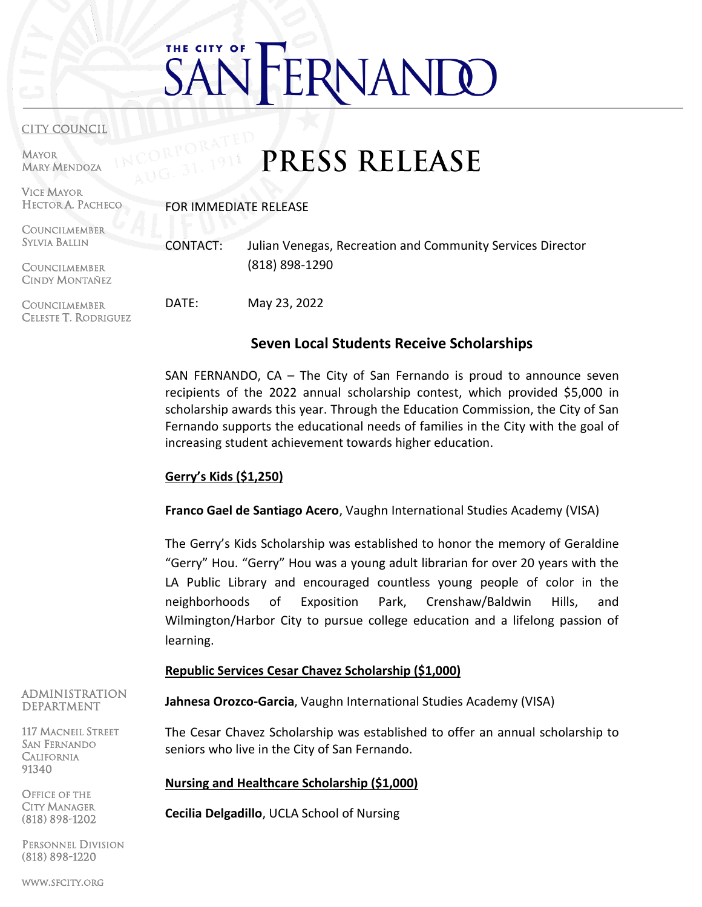# THE CITY OF RNANI

#### **CITY COUNCIL**

MAYOR MARY MENDOZA

#### VICE MAYOR HECTOR A. PACHECO

FOR IMMEDIATE RELEASE

COUNCILMEMBER SYLVIA BALLIN **COUNCILMEMBER** CINDY MONTAÑEZ **COUNCILMEMBER** CELESTE T. RODRIGUEZ CONTACT: Julian Venegas, Recreation and Community Services Director (818) 898-1290 DATE: May 23, 2022

# **Seven Local Students Receive Scholarships**

**PRESS RELEASE** 

SAN FERNANDO, CA – The City of San Fernando is proud to announce seven recipients of the 2022 annual scholarship contest, which provided \$5,000 in scholarship awards this year. Through the Education Commission, the City of San Fernando supports the educational needs of families in the City with the goal of increasing student achievement towards higher education.

#### **Gerry's Kids (\$1,250)**

**Franco Gael de Santiago Acero**, Vaughn International Studies Academy (VISA)

The Gerry's Kids Scholarship was established to honor the memory of Geraldine "Gerry" Hou. "Gerry" Hou was a young adult librarian for over 20 years with the LA Public Library and encouraged countless young people of color in the neighborhoods of Exposition Park, Crenshaw/Baldwin Hills, and Wilmington/Harbor City to pursue college education and a lifelong passion of learning.

# **Republic Services Cesar Chavez Scholarship (\$1,000)**

**Jahnesa Orozco-Garcia**, Vaughn International Studies Academy (VISA)

The Cesar Chavez Scholarship was established to offer an annual scholarship to seniors who live in the City of San Fernando.

# **Nursing and Healthcare Scholarship (\$1,000)**

**Cecilia Delgadillo**, UCLA School of Nursing

ADMINISTRATION DEPARTMENT

117 MACNEIL STREET SAN FERNANDO **CALIFORNIA** 91340

OFFICE OF THE CITY MANAGER (818) 898-1202

PERSONNEL DIVISION (818) 898-1220